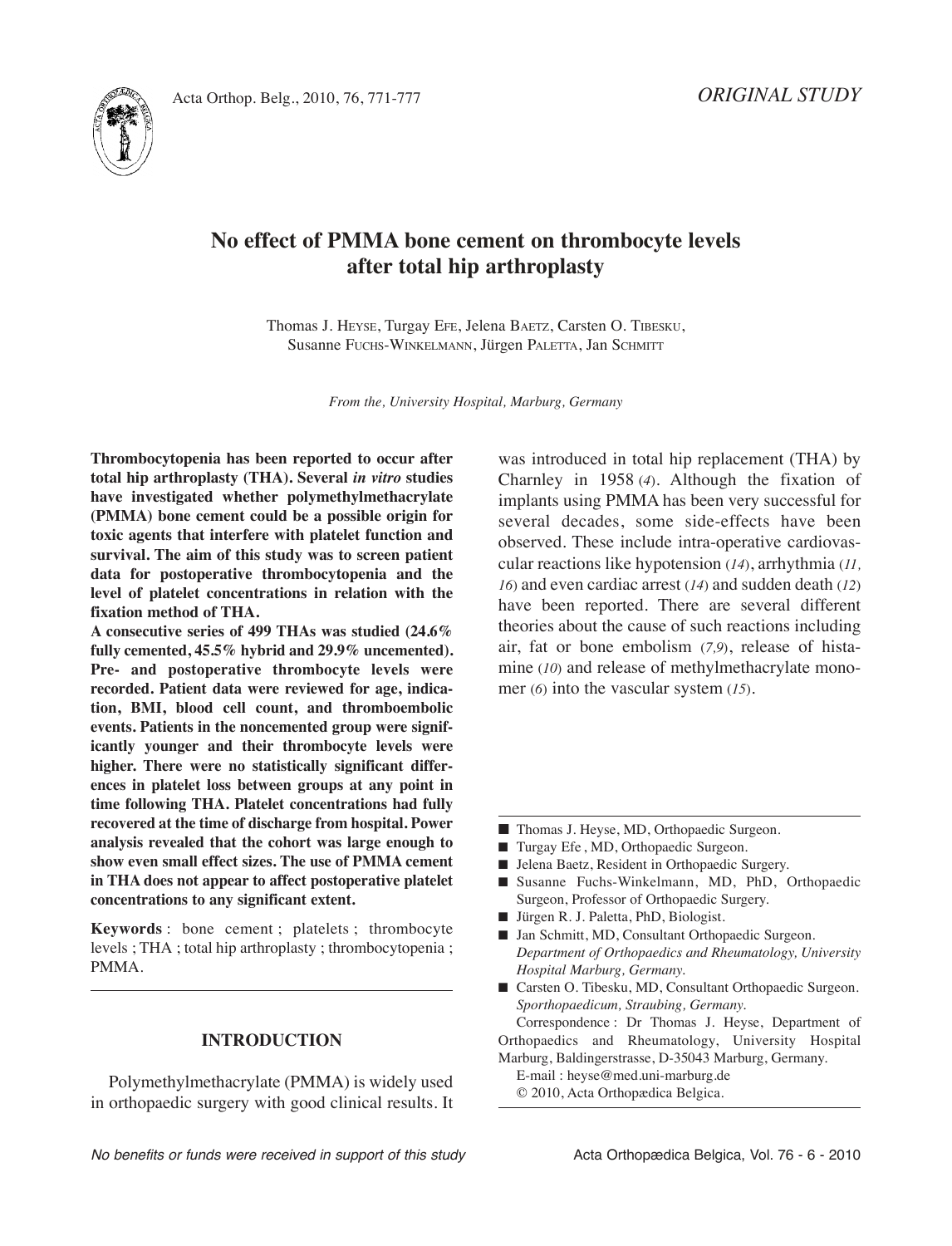



# **No effect of PMMA bone cement on thrombocyte levels after total hip arthroplasty**

Thomas J. HEySE, Turgay EFE, Jelena BAETz, Carsten O. TiBESkU, Susanne FUCHS-WinkElMAnn, Jürgen PAlETTA, Jan SCHMiTT

*From the, University Hospital, Marburg, Germany*

**Thrombocytopenia has been reported to occur after total hip arthroplasty (THA). Several** *in vitro* **studies have investigated whether polymethylmethacrylate (PMMA) bone cement could be a possible origin for toxic agents that interfere with platelet function and survival. The aim of this study was to screen patient data for postoperative thrombocytopenia and the level of platelet concentrations in relation with the fixation method of THA.**

**A consecutive series of 499 THAs was studied (24.6% fully cemented, 45.5% hybrid and 29.9% uncemented). Pre- and postoperative thrombocyte levels were recorded. Patient data were reviewed for age, indication, BMI, blood cell count, and thromboembolic events. Patients in the noncemented group were significantly younger and their thrombocyte levels were higher. There were no statistically significant differences in platelet loss between groups at any point in time following THA. Platelet concentrations had fully recovered at the time of discharge from hospital. Power analysis revealed that the cohort was large enough to show even small effect sizes. The use of PMMA cement in THA does not appear to affect postoperative platelet concentrations to any significant extent.**

**Keywords** : bone cement ; platelets ; thrombocyte levels ; THA ; total hip arthroplasty ; thrombocytopenia ; PMMA.

## **INTRODUCTION**

Polymethylmethacrylate (PMMA) is widely used in orthopaedic surgery with good clinical results. it was introduced in total hip replacement (THA) by Charnley in 1958 (*4*)*.* Although the fixation of implants using PMMA has been very successful for several decades, some side-effects have been observed. These include intra-operative cardiovascular reactions like hypotension (*14*), arrhythmia (*11, 16*) and even cardiac arrest (*14*) and sudden death (*12*) have been reported. There are several different theories about the cause of such reactions including air, fat or bone embolism (*7,9*), release of histamine (*10*) and release of methylmethacrylate monomer (*6*) into the vascular system (*15*)*.*

- Thomas J. Heyse, MD, Orthopaedic Surgeon.
- Turgay Efe, MD, Orthopaedic Surgeon.
- Jelena Baetz, Resident in Orthopaedic Surgery.
- Susanne Fuchs-Winkelmann, MD, PhD, Orthopaedic Surgeon, Professor of Orthopaedic Surgery.
- **■** Jürgen R. J. Paletta, PhD, Biologist.
- Jan Schmitt, MD, Consultant Orthopaedic Surgeon. *Department of Orthopaedics and Rheumatology, University Hospital Marburg, Germany.*
- Carsten O. Tibesku, MD, Consultant Orthopaedic Surgeon. *Sporthopaedicum, Straubing, Germany.*

Correspondence : Dr Thomas J. Heyse, Department of Orthopaedics and Rheumatology, University Hospital Marburg, Baldingerstrasse, D-35043 Marburg, Germany.

E-mail : heyse@med.uni-marburg.de © 2010, Acta Orthopædica Belgica.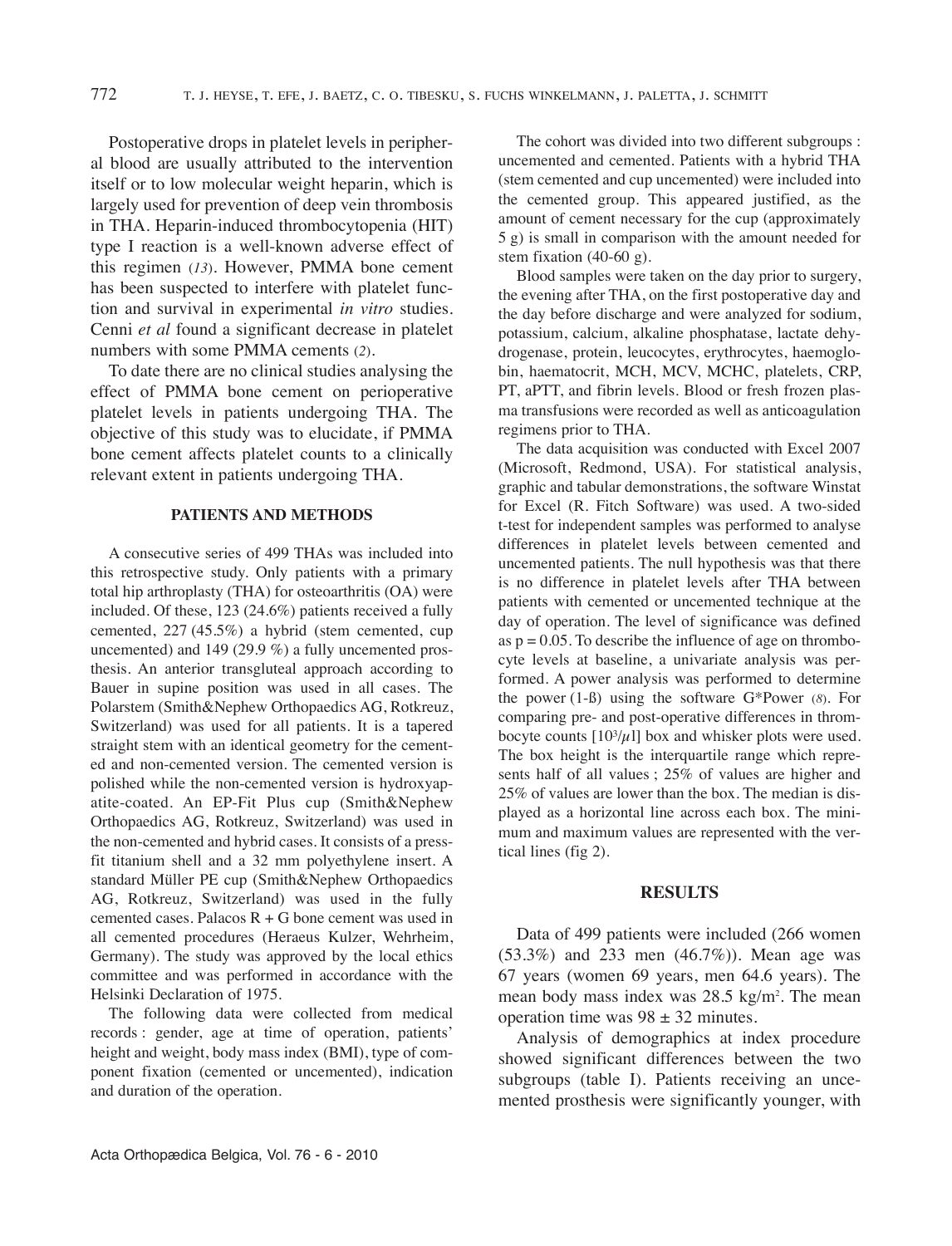Postoperative drops in platelet levels in peripheral blood are usually attributed to the intervention itself or to low molecular weight heparin, which is largely used for prevention of deep vein thrombosis in THA. Heparin-induced thrombocytopenia (HiT) type I reaction is a well-known adverse effect of this regimen (*13*)*.* However, PMMA bone cement has been suspected to interfere with platelet function and survival in experimental *in vitro* studies. Cenni *et al* found a significant decrease in platelet numbers with some PMMA cements (*2*)*.*

To date there are no clinical studies analysing the effect of PMMA bone cement on perioperative platelet levels in patients undergoing THA. The objective of this study was to elucidate, if PMMA bone cement affects platelet counts to a clinically relevant extent in patients undergoing THA.

## **PATIENTS AND METHODS**

A consecutive series of 499 THAs was included into this retrospective study. Only patients with a primary total hip arthroplasty (THA) for osteoarthritis (OA) were included. Of these, 123 (24.6%) patients received a fully cemented, 227 (45.5%) a hybrid (stem cemented, cup uncemented) and 149 (29.9 %) a fully uncemented prosthesis. An anterior transgluteal approach according to Bauer in supine position was used in all cases. The Polarstem (Smith&Nephew Orthopaedics AG, Rotkreuz, Switzerland) was used for all patients. It is a tapered straight stem with an identical geometry for the cemented and non-cemented version. The cemented version is polished while the non-cemented version is hydroxyapatite-coated. An EP-Fit Plus cup (Smith&Nephew Orthopaedics AG, Rotkreuz, Switzerland) was used in the non-cemented and hybrid cases. It consists of a pressfit titanium shell and a 32 mm polyethylene insert. A standard Müller PE cup (Smith&Nephew Orthopaedics AG, Rotkreuz, Switzerland) was used in the fully cemented cases. Palacos  $R + G$  bone cement was used in all cemented procedures (Heraeus kulzer, Wehrheim, Germany). The study was approved by the local ethics committee and was performed in accordance with the Helsinki Declaration of 1975.

The following data were collected from medical records : gender, age at time of operation, patients' height and weight, body mass index (BMi), type of component fixation (cemented or uncemented), indication and duration of the operation.

The cohort was divided into two different subgroups : uncemented and cemented. Patients with a hybrid THA (stem cemented and cup uncemented) were included into the cemented group. This appeared justified, as the amount of cement necessary for the cup (approximately 5 g) is small in comparison with the amount needed for stem fixation (40-60 g).

Blood samples were taken on the day prior to surgery, the evening after THA, on the first postoperative day and the day before discharge and were analyzed for sodium, potassium, calcium, alkaline phosphatase, lactate dehydrogenase, protein, leucocytes, erythrocytes, haemoglobin, haematocrit, MCH, MCV, MCHC, platelets, CRP, PT, aPTT, and fibrin levels. Blood or fresh frozen plasma transfusions were recorded as well as anticoagulation regimens prior to THA.

The data acquisition was conducted with Excel 2007 (Microsoft, Redmond, USA). For statistical analysis, graphic and tabular demonstrations, the software Winstat for Excel (R. Fitch Software) was used. A two-sided t-test for independent samples was performed to analyse differences in platelet levels between cemented and uncemented patients. The null hypothesis was that there is no difference in platelet levels after THA between patients with cemented or uncemented technique at the day of operation. The level of significance was defined as  $p = 0.05$ . To describe the influence of age on thrombocyte levels at baseline, a univariate analysis was performed. A power analysis was performed to determine the power (1-ß) using the software G\*Power (*8*)*.* For comparing pre- and post-operative differences in thrombocyte counts  $[10^{3}/\mu]$  box and whisker plots were used. The box height is the interquartile range which represents half of all values ; 25% of values are higher and 25% of values are lower than the box. The median is displayed as a horizontal line across each box. The minimum and maximum values are represented with the vertical lines (fig 2).

### **RESULTS**

Data of 499 patients were included (266 women (53.3%) and 233 men (46.7%)). Mean age was 67 years (women 69 years, men 64.6 years). The mean body mass index was 28.5 kg/m<sup>2</sup>. The mean operation time was  $98 \pm 32$  minutes.

Analysis of demographics at index procedure showed significant differences between the two subgroups (table I). Patients receiving an uncemented prosthesis were significantly younger, with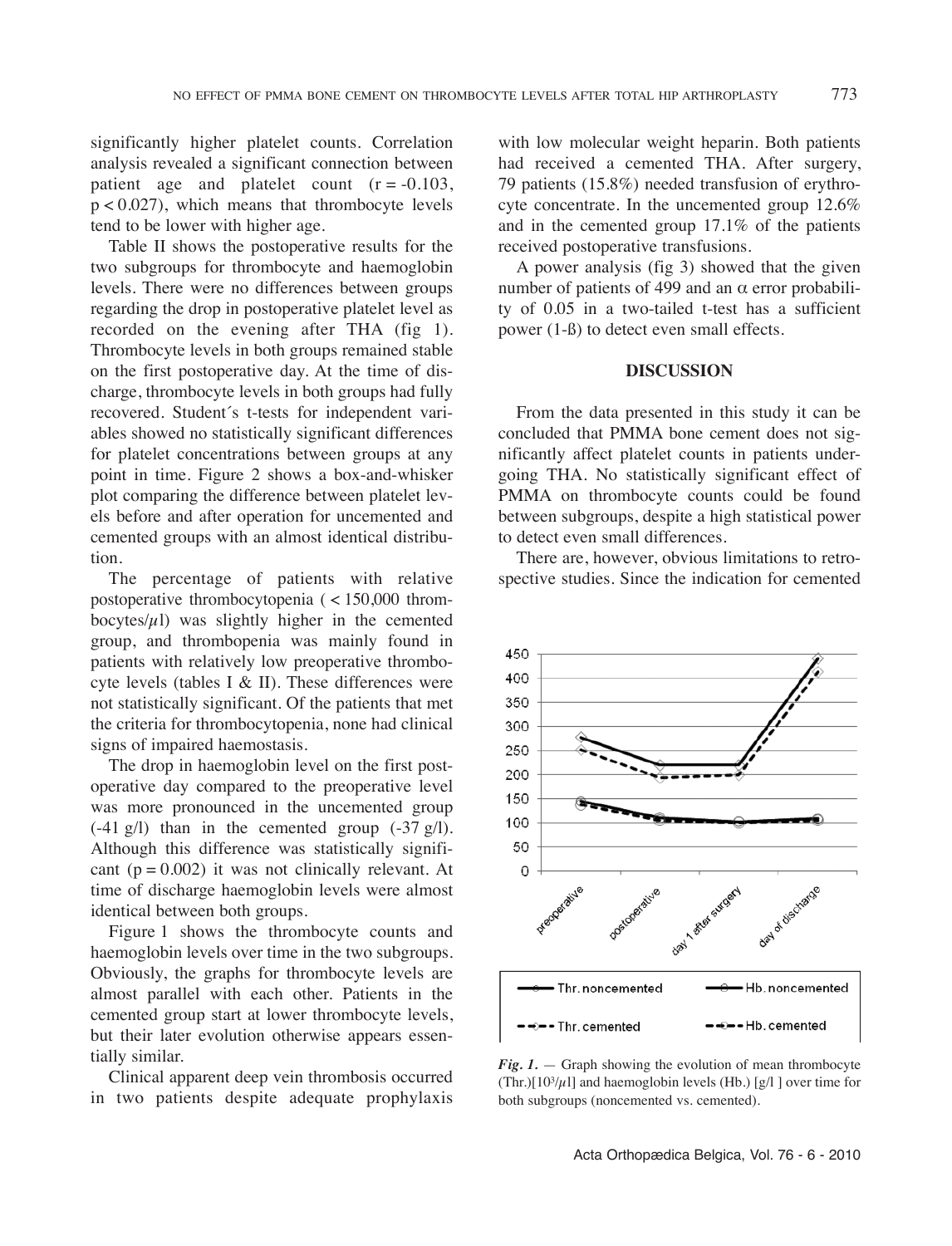significantly higher platelet counts. Correlation analysis revealed a significant connection between patient age and platelet count  $(r = -0.103)$ , p < 0.027), which means that thrombocyte levels tend to be lower with higher age.

Table II shows the postoperative results for the two subgroups for thrombocyte and haemoglobin levels. There were no differences between groups regarding the drop in postoperative platelet level as recorded on the evening after THA (fig 1). Thrombocyte levels in both groups remained stable on the first postoperative day. At the time of discharge, thrombocyte levels in both groups had fully recovered. Student´s t-tests for independent variables showed no statistically significant differences for platelet concentrations between groups at any point in time. Figure 2 shows a box-and-whisker plot comparing the difference between platelet levels before and after operation for uncemented and cemented groups with an almost identical distribution.

The percentage of patients with relative postoperative thrombocytopenia ( < 150,000 thrombocytes/ $\mu$ l) was slightly higher in the cemented group, and thrombopenia was mainly found in patients with relatively low preoperative thrombocyte levels (tables I & II). These differences were not statistically significant. Of the patients that met the criteria for thrombocytopenia, none had clinical signs of impaired haemostasis.

The drop in haemoglobin level on the first postoperative day compared to the preoperative level was more pronounced in the uncemented group  $(-41 \text{ g/l})$  than in the cemented group  $(-37 \text{ g/l})$ . Although this difference was statistically significant ( $p = 0.002$ ) it was not clinically relevant. At time of discharge haemoglobin levels were almost identical between both groups.

Figure 1 shows the thrombocyte counts and haemoglobin levels over time in the two subgroups. Obviously, the graphs for thrombocyte levels are almost parallel with each other. Patients in the cemented group start at lower thrombocyte levels, but their later evolution otherwise appears essentially similar.

Clinical apparent deep vein thrombosis occurred in two patients despite adequate prophylaxis

with low molecular weight heparin. Both patients had received a cemented THA. After surgery, 79 patients (15.8%) needed transfusion of erythrocyte concentrate. In the uncemented group  $12.6\%$ and in the cemented group 17.1% of the patients received postoperative transfusions.

A power analysis (fig 3) showed that the given number of patients of 499 and an  $α$  error probability of 0.05 in a two-tailed t-test has a sufficient power (1-ß) to detect even small effects.

## **DISCUSSION**

From the data presented in this study it can be concluded that PMMA bone cement does not significantly affect platelet counts in patients undergoing THA. no statistically significant effect of PMMA on thrombocyte counts could be found between subgroups, despite a high statistical power to detect even small differences.

There are, however, obvious limitations to retrospective studies. Since the indication for cemented



*Fig. 1.* — Graph showing the evolution of mean thrombocyte (Thr.)[ $10^{3}/\mu$ ]] and haemoglobin levels (Hb.) [g/l] over time for both subgroups (noncemented vs. cemented).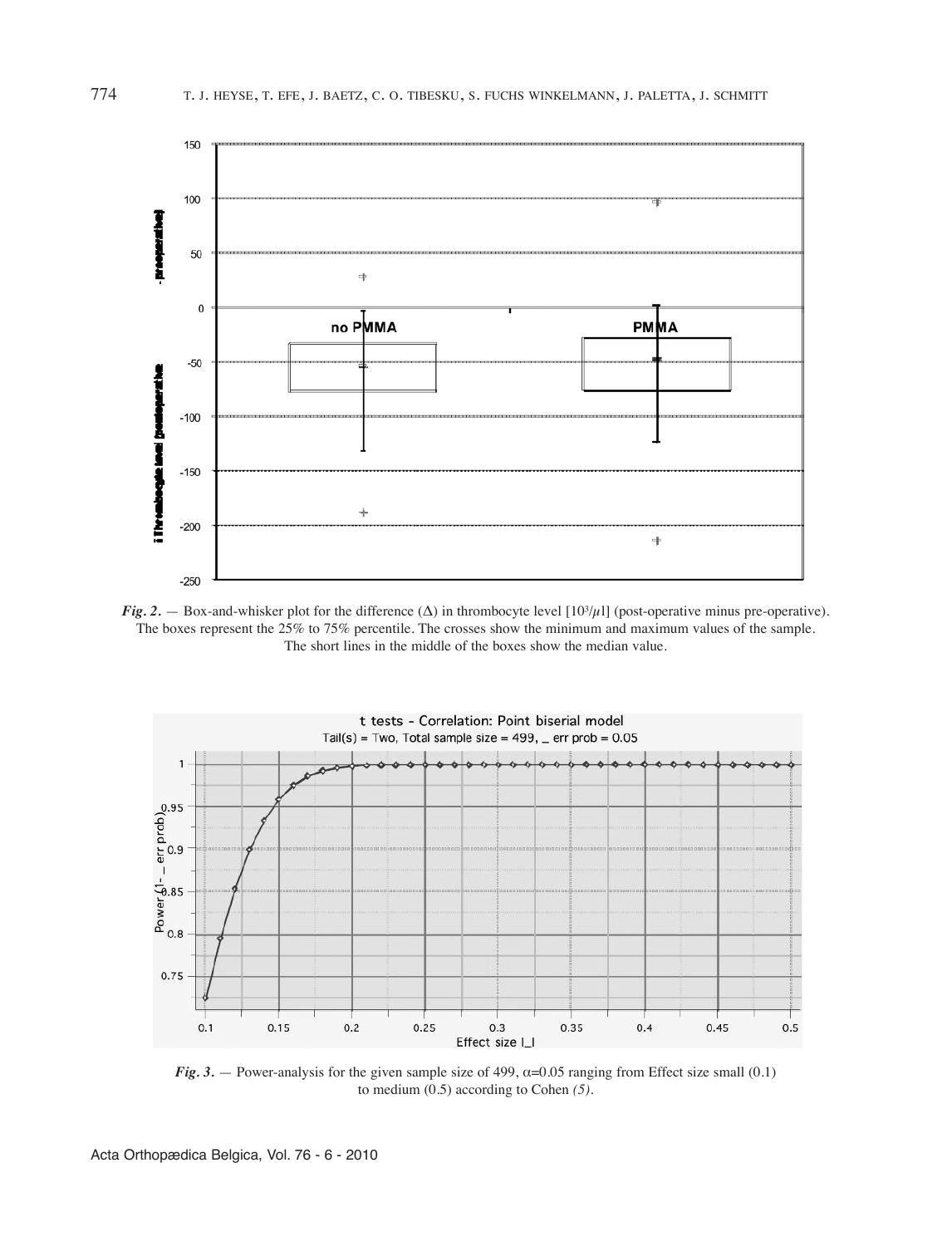

*Fig.* 2. — Box-and-whisker plot for the difference ( $\Delta$ ) in thrombocyte level [10<sup>3</sup>/µl] (post-operative minus pre-operative). The boxes represent the 25% to 75% percentile. The crosses show the minimum and maximum values of the sample. The short lines in the middle of the boxes show the median value.



*Fig.* 3. — Power-analysis for the given sample size of 499,  $\alpha$ =0.05 ranging from Effect size small (0.1) to medium (0.5) according to Cohen *(5).*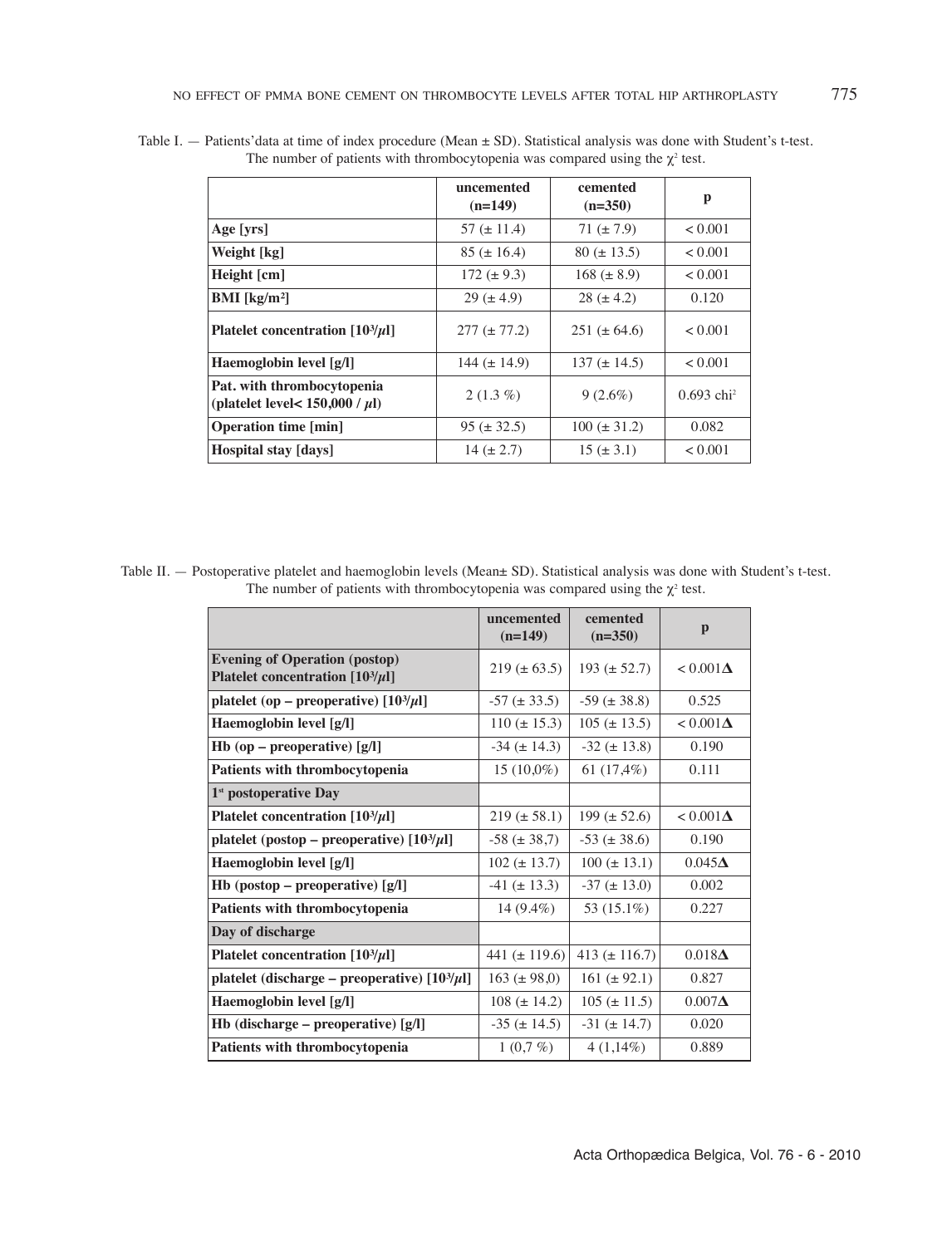|                                                                    | uncemented<br>$(n=149)$ | cemented<br>$(n=350)$ | p                        |
|--------------------------------------------------------------------|-------------------------|-----------------------|--------------------------|
| Age [yrs]                                                          | 57 ( $\pm$ 11.4)        | 71 $(\pm 7.9)$        | < 0.001                  |
| Weight [kg]                                                        | $85 (\pm 16.4)$         | $80 (\pm 13.5)$       | < 0.001                  |
| Height $\lceil$ cm $\rceil$                                        | 172 $(\pm 9.3)$         | $168 (\pm 8.9)$       | < 0.001                  |
| <b>BMI</b> [ $kg/m2$ ]                                             | $29 (\pm 4.9)$          | $28 (\pm 4.2)$        | 0.120                    |
| Platelet concentration $[10^3/\mu]$                                | $277 (\pm 77.2)$        | 251 ( $\pm$ 64.6)     | < 0.001                  |
| Haemoglobin level [g/l]                                            | 144 $(\pm 14.9)$        | 137 ( $\pm$ 14.5)     | < 0.001                  |
| Pat. with thrombocytopenia<br>(platelet level < $150,000 / \mu$ l) | $2(1.3\%)$              | $9(2.6\%)$            | $0.693$ chi <sup>2</sup> |
| <b>Operation time [min]</b>                                        | $95 (\pm 32.5)$         | $100 (\pm 31.2)$      | 0.082                    |
| Hospital stay [days]                                               | 14 $(\pm 2.7)$          | $15 (\pm 3.1)$        | < 0.001                  |

Table i. — Patients'data at time of index procedure (Mean ± SD). Statistical analysis was done with Student's t-test. The number of patients with thrombocytopenia was compared using the  $\chi^2$  test.

Table II. — Postoperative platelet and haemoglobin levels (Mean± SD). Statistical analysis was done with Student's t-test. The number of patients with thrombocytopenia was compared using the  $\chi^2$  test.

|                                                                             | uncemented<br>$(n=149)$ | cemented<br>$(n=350)$ | p                |
|-----------------------------------------------------------------------------|-------------------------|-----------------------|------------------|
| <b>Evening of Operation (postop)</b><br>Platelet concentration $[10^3/\mu]$ | $219 (\pm 63.5)$        | 193 $(\pm 52.7)$      | $< 0.001 \Delta$ |
| platelet (op – preoperative) $[10^3/\mu]$                                   | $-57 (\pm 33.5)$        | $-59 (\pm 38.8)$      | 0.525            |
| Haemoglobin level [g/l]                                                     | $110 (\pm 15.3)$        | $105 (\pm 13.5)$      | $< 0.001 \Delta$ |
| Hb (op – preoperative) $[g/l]$                                              | $-34 (\pm 14.3)$        | $-32 (\pm 13.8)$      | 0.190            |
| <b>Patients with thrombocytopenia</b>                                       | $15(10,0\%)$            | 61 $(17,4\%)$         | 0.111            |
| $1st$ postoperative Day                                                     |                         |                       |                  |
| Platelet concentration $[10^3/\mu]$                                         | $219 (\pm 58.1)$        | 199 $(\pm 52.6)$      | $< 0.001 \Delta$ |
| platelet (postop – preoperative) $[10^3/\mu]$                               | $-58 (\pm 38.7)$        | $-53 (\pm 38.6)$      | 0.190            |
| Haemoglobin level [g/l]                                                     | $102 (\pm 13.7)$        | $100 (\pm 13.1)$      | $0.045\Delta$    |
| Hb (postop – preoperative) $[g/l]$                                          | $-41 (\pm 13.3)$        | $-37 (\pm 13.0)$      | 0.002            |
| <b>Patients with thrombocytopenia</b>                                       | 14 $(9.4\%)$            | 53 (15.1%)            | 0.227            |
| Day of discharge                                                            |                         |                       |                  |
| Platelet concentration $[10^3/\mu]$                                         | 441 ( $\pm$ 119.6)      | 413 ( $\pm$ 116.7)    | $0.018\Delta$    |
| platelet (discharge – preoperative) $[10^3/\mu]$                            | $163 (\pm 98,0)$        | 161 $(\pm 92.1)$      | 0.827            |
| Haemoglobin level [g/l]                                                     | $108 (\pm 14.2)$        | $105 (\pm 11.5)$      | $0.007\Delta$    |
| Hb (discharge – preoperative) $[g/l]$                                       | $-35 (\pm 14.5)$        | $-31 (\pm 14.7)$      | 0.020            |
| Patients with thrombocytopenia                                              | $1(0,7\%)$              | $4(1,14\%)$           | 0.889            |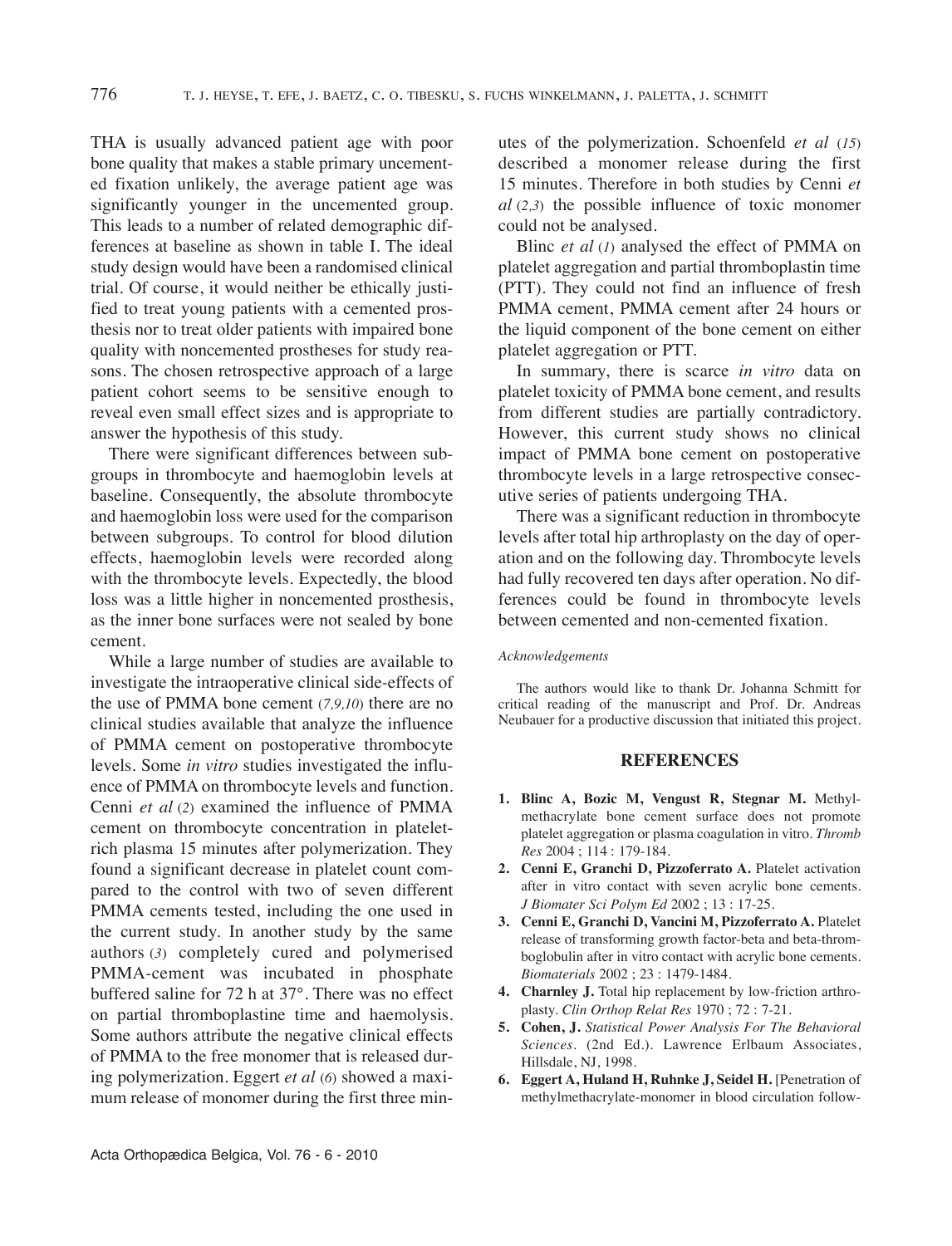THA is usually advanced patient age with poor bone quality that makes a stable primary uncemented fixation unlikely, the average patient age was significantly younger in the uncemented group. This leads to a number of related demographic differences at baseline as shown in table I. The ideal study design would have been a randomised clinical trial. Of course, it would neither be ethically justified to treat young patients with a cemented prosthesis nor to treat older patients with impaired bone quality with noncemented prostheses for study reasons. The chosen retrospective approach of a large patient cohort seems to be sensitive enough to reveal even small effect sizes and is appropriate to answer the hypothesis of this study.

There were significant differences between subgroups in thrombocyte and haemoglobin levels at baseline. Consequently, the absolute thrombocyte and haemoglobin loss were used for the comparison between subgroups. To control for blood dilution effects, haemoglobin levels were recorded along with the thrombocyte levels. Expectedly, the blood loss was a little higher in noncemented prosthesis, as the inner bone surfaces were not sealed by bone cement.

While a large number of studies are available to investigate the intraoperative clinical side-effects of the use of PMMA bone cement (*7,9,10*) there are no clinical studies available that analyze the influence of PMMA cement on postoperative thrombocyte levels. Some *in vitro* studies investigated the influence of PMMA on thrombocyte levels and function. Cenni *et al* (*2*) examined the influence of PMMA cement on thrombocyte concentration in plateletrich plasma 15 minutes after polymerization. They found a significant decrease in platelet count compared to the control with two of seven different PMMA cements tested, including the one used in the current study. in another study by the same authors (*3*) completely cured and polymerised PMMA-cement was incubated in phosphate buffered saline for 72 h at 37°. There was no effect on partial thromboplastine time and haemolysis. Some authors attribute the negative clinical effects of PMMA to the free monomer that is released during polymerization. Eggert *et al* (*6*) showed a maximum release of monomer during the first three minutes of the polymerization. Schoenfeld *et al* (*15*) described a monomer release during the first 15 minutes. Therefore in both studies by Cenni *et al* (*2,3*) the possible influence of toxic monomer could not be analysed.

Blinc *et al* (*1*) analysed the effect of PMMA on platelet aggregation and partial thromboplastin time (PTT). They could not find an influence of fresh PMMA cement, PMMA cement after 24 hours or the liquid component of the bone cement on either platelet aggregation or PTT.

In summary, there is scarce *in vitro* data on platelet toxicity of PMMA bone cement, and results from different studies are partially contradictory. However, this current study shows no clinical impact of PMMA bone cement on postoperative thrombocyte levels in a large retrospective consecutive series of patients undergoing THA.

There was a significant reduction in thrombocyte levels after total hip arthroplasty on the day of operation and on the following day. Thrombocyte levels had fully recovered ten days after operation. No differences could be found in thrombocyte levels between cemented and non-cemented fixation.

#### *Acknowledgements*

The authors would like to thank Dr. Johanna Schmitt for critical reading of the manuscript and Prof. Dr. Andreas Neubauer for a productive discussion that initiated this project.

#### **REFERENCES**

- **1. Blinc A, Bozic M, Vengust R, Stegnar M.** Methylmethacrylate bone cement surface does not promote platelet aggregation or plasma coagulation in vitro. *Thromb Res* 2004 ; 114 : 179-184.
- **2. Cenni E, Granchi D, Pizzoferrato A.** Platelet activation after in vitro contact with seven acrylic bone cements. *J Biomater Sci Polym Ed* 2002 ; 13 : 17-25.
- **3. Cenni E, Granchi D, Vancini M, Pizzoferrato A.** Platelet release of transforming growth factor-beta and beta-thromboglobulin after in vitro contact with acrylic bone cements. *Biomaterials* 2002 ; 23 : 1479-1484.
- **4. Charnley J.** Total hip replacement by low-friction arthroplasty. *Clin Orthop Relat Res* 1970 ; 72 : 7-21.
- **5. Cohen, J.** *Statistical Power Analysis For The Behavioral Sciences.* (2nd Ed.). lawrence Erlbaum Associates, Hillsdale, nJ, 1998.
- **6. Eggert A, Huland H, Ruhnke J, Seidel H.** [Penetration of methylmethacrylate-monomer in blood circulation follow-